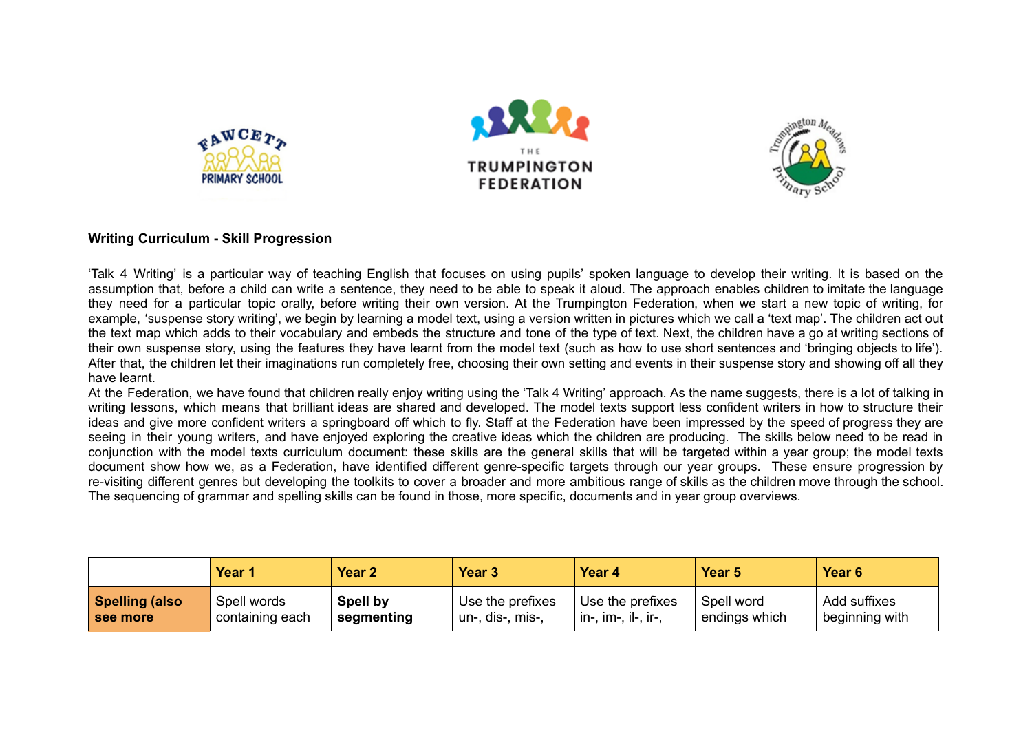





## **Writing Curriculum - Skill Progression**

'Talk 4 Writing' is a particular way of teaching English that focuses on using pupils' spoken language to develop their writing. It is based on the assumption that, before a child can write a sentence, they need to be able to speak it aloud. The approach enables children to imitate the language they need for a particular topic orally, before writing their own version. At the Trumpington Federation, when we start a new topic of writing, for example, 'suspense story writing', we begin by learning a model text, using a version written in pictures which we call a 'text map'. The children act out the text map which adds to their vocabulary and embeds the structure and tone of the type of text. Next, the children have a go at writing sections of their own suspense story, using the features they have learnt from the model text (such as how to use short sentences and 'bringing objects to life'). After that, the children let their imaginations run completely free, choosing their own setting and events in their suspense story and showing off all they have learnt.

At the Federation, we have found that children really enjoy writing using the 'Talk 4 Writing' approach. As the name suggests, there is a lot of talking in writing lessons, which means that brilliant ideas are shared and developed. The model texts support less confident writers in how to structure their ideas and give more confident writers a springboard off which to fly. Staff at the Federation have been impressed by the speed of progress they are seeing in their young writers, and have enjoyed exploring the creative ideas which the children are producing. The skills below need to be read in conjunction with the model texts curriculum document: these skills are the general skills that will be targeted within a year group; the model texts document show how we, as a Federation, have identified different genre-specific targets through our year groups. These ensure progression by re-visiting different genres but developing the toolkits to cover a broader and more ambitious range of skills as the children move through the school. The sequencing of grammar and spelling skills can be found in those, more specific, documents and in year group overviews.

|                | Year '          | Year 2          | Year 3           | Year 4                      | Year <sub>5</sub> | Year 6           |
|----------------|-----------------|-----------------|------------------|-----------------------------|-------------------|------------------|
| Spelling (also | Spell words     | <b>Spell by</b> | Use the prefixes | Use the prefixes            | Spell word        | Add suffixes     |
| I see more     | containing each | ' segmenting    | un-, dis-, mis-, | $\cdot$ in-, im-, il-, ir-, | ' endings which   | beginning with ' |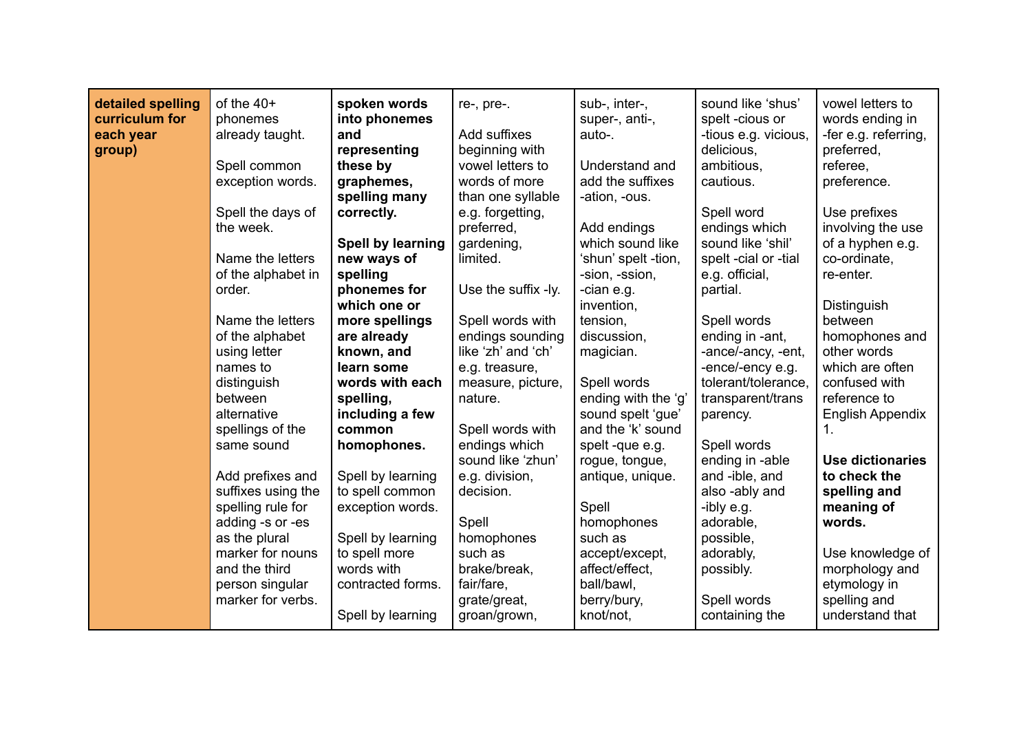| detailed spelling<br>curriculum for | of the $40+$<br>phonemes          | spoken words<br>into phonemes      | re-, pre-.            | sub-, inter-,<br>super-, anti-, | sound like 'shus'<br>spelt-cious or | vowel letters to<br>words ending in |
|-------------------------------------|-----------------------------------|------------------------------------|-----------------------|---------------------------------|-------------------------------------|-------------------------------------|
| each year                           | already taught.                   | and                                | Add suffixes          | auto-.                          | -tious e.g. vicious,                | -fer e.g. referring,                |
| group)                              |                                   | representing                       | beginning with        |                                 | delicious,                          | preferred,                          |
|                                     | Spell common                      | these by                           | vowel letters to      | Understand and                  | ambitious.                          | referee,                            |
|                                     | exception words.                  | graphemes,                         | words of more         | add the suffixes                | cautious.                           | preference.                         |
|                                     |                                   | spelling many                      | than one syllable     | -ation, -ous.                   |                                     |                                     |
|                                     | Spell the days of                 | correctly.                         | e.g. forgetting,      |                                 | Spell word                          | Use prefixes                        |
|                                     | the week.                         |                                    | preferred,            | Add endings                     | endings which                       | involving the use                   |
|                                     |                                   | Spell by learning                  | gardening,            | which sound like                | sound like 'shil'                   | of a hyphen e.g.                    |
|                                     | Name the letters                  | new ways of                        | limited.              | 'shun' spelt -tion,             | spelt -cial or -tial                | co-ordinate,                        |
|                                     | of the alphabet in                | spelling                           |                       | -sion, -ssion,                  | e.g. official,                      | re-enter.                           |
|                                     | order.                            | phonemes for                       | Use the suffix -ly.   | -cian e.g.                      | partial.                            |                                     |
|                                     |                                   | which one or                       |                       | invention,                      |                                     | Distinguish                         |
|                                     | Name the letters                  | more spellings                     | Spell words with      | tension,                        | Spell words                         | between                             |
|                                     | of the alphabet                   | are already                        | endings sounding      | discussion,                     | ending in -ant,                     | homophones and                      |
|                                     | using letter                      | known, and                         | like 'zh' and 'ch'    | magician.                       | -ance/-ancy, -ent,                  | other words                         |
|                                     | names to                          | learn some                         | e.g. treasure,        |                                 | -ence/-ency e.g.                    | which are often                     |
|                                     | distinguish                       | words with each                    | measure, picture,     | Spell words                     | tolerant/tolerance,                 | confused with                       |
|                                     | between                           | spelling,                          | nature.               | ending with the 'g'             | transparent/trans                   | reference to                        |
|                                     | alternative                       | including a few                    |                       | sound spelt 'gue'               | parency.                            | <b>English Appendix</b>             |
|                                     | spellings of the                  | common                             | Spell words with      | and the 'k' sound               |                                     | 1.                                  |
|                                     | same sound                        | homophones.                        | endings which         | spelt-que e.g.                  | Spell words                         |                                     |
|                                     |                                   |                                    | sound like 'zhun'     | rogue, tongue,                  | ending in -able                     | <b>Use dictionaries</b>             |
|                                     | Add prefixes and                  | Spell by learning                  | e.g. division,        | antique, unique.                | and -ible, and                      | to check the                        |
|                                     | suffixes using the                | to spell common                    | decision.             |                                 | also -ably and                      | spelling and                        |
|                                     | spelling rule for                 | exception words.                   |                       | Spell                           | -ibly e.g.                          | meaning of                          |
|                                     | adding -s or -es                  |                                    | Spell                 | homophones<br>such as           | adorable,                           | words.                              |
|                                     | as the plural<br>marker for nouns | Spell by learning<br>to spell more | homophones<br>such as | accept/except,                  | possible,<br>adorably,              | Use knowledge of                    |
|                                     | and the third                     | words with                         | brake/break,          | affect/effect,                  |                                     | morphology and                      |
|                                     | person singular                   | contracted forms.                  | fair/fare,            | ball/bawl,                      | possibly.                           | etymology in                        |
|                                     | marker for verbs.                 |                                    | grate/great,          | berry/bury,                     | Spell words                         | spelling and                        |
|                                     |                                   | Spell by learning                  | groan/grown,          | knot/not,                       | containing the                      | understand that                     |
|                                     |                                   |                                    |                       |                                 |                                     |                                     |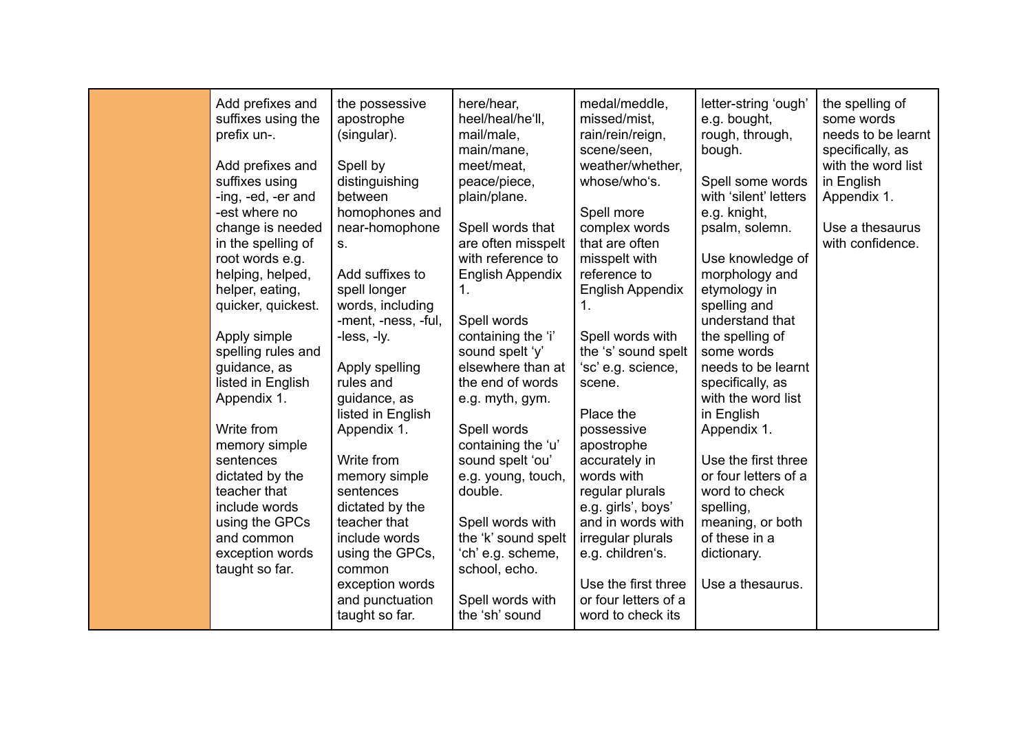| Add prefixes and<br>suffixes using the<br>prefix un-.<br>Add prefixes and<br>suffixes using<br>-ing, -ed, -er and<br>-est where no<br>change is needed<br>in the spelling of<br>root words e.g.<br>helping, helped,<br>helper, eating,<br>quicker, quickest.<br>Apply simple<br>spelling rules and<br>guidance, as<br>listed in English<br>Appendix 1.<br>Write from<br>memory simple<br>sentences<br>dictated by the<br>teacher that<br>include words<br>using the GPCs<br>and common<br>exception words<br>taught so far. | the possessive<br>apostrophe<br>(singular).<br>Spell by<br>distinguishing<br>between<br>homophones and<br>near-homophone<br>S <sub>1</sub><br>Add suffixes to<br>spell longer<br>words, including<br>-ment, -ness, -ful,<br>-less, -ly.<br>Apply spelling<br>rules and<br>guidance, as<br>listed in English<br>Appendix 1.<br>Write from<br>memory simple<br>sentences<br>dictated by the<br>teacher that<br>include words<br>using the GPCs,<br>common<br>exception words<br>and punctuation<br>taught so far. | here/hear,<br>heel/heal/he'll,<br>mail/male,<br>main/mane,<br>meet/meat,<br>peace/piece,<br>plain/plane.<br>Spell words that<br>are often misspelt<br>with reference to<br><b>English Appendix</b><br>1.<br>Spell words<br>containing the 'i'<br>sound spelt 'y'<br>elsewhere than at<br>the end of words<br>e.g. myth, gym.<br>Spell words<br>containing the 'u'<br>sound spelt 'ou'<br>e.g. young, touch,<br>double.<br>Spell words with<br>the 'k' sound spelt<br>'ch' e.g. scheme,<br>school, echo.<br>Spell words with<br>the 'sh' sound | medal/meddle,<br>missed/mist,<br>rain/rein/reign,<br>scene/seen,<br>weather/whether,<br>whose/who's.<br>Spell more<br>complex words<br>that are often<br>misspelt with<br>reference to<br><b>English Appendix</b><br>1.<br>Spell words with<br>the 's' sound spelt<br>'sc' e.g. science,<br>scene.<br>Place the<br>possessive<br>apostrophe<br>accurately in<br>words with<br>regular plurals<br>e.g. girls', boys'<br>and in words with<br>irregular plurals<br>e.g. children's.<br>Use the first three<br>or four letters of a<br>word to check its | letter-string 'ough'<br>e.g. bought,<br>rough, through,<br>bough.<br>Spell some words<br>with 'silent' letters<br>e.g. knight,<br>psalm, solemn.<br>Use knowledge of<br>morphology and<br>etymology in<br>spelling and<br>understand that<br>the spelling of<br>some words<br>needs to be learnt<br>specifically, as<br>with the word list<br>in English<br>Appendix 1.<br>Use the first three<br>or four letters of a<br>word to check<br>spelling,<br>meaning, or both<br>of these in a<br>dictionary.<br>Use a thesaurus. | the spelling of<br>some words<br>needs to be learnt<br>specifically, as<br>with the word list<br>in English<br>Appendix 1.<br>Use a thesaurus<br>with confidence. |
|-----------------------------------------------------------------------------------------------------------------------------------------------------------------------------------------------------------------------------------------------------------------------------------------------------------------------------------------------------------------------------------------------------------------------------------------------------------------------------------------------------------------------------|-----------------------------------------------------------------------------------------------------------------------------------------------------------------------------------------------------------------------------------------------------------------------------------------------------------------------------------------------------------------------------------------------------------------------------------------------------------------------------------------------------------------|-----------------------------------------------------------------------------------------------------------------------------------------------------------------------------------------------------------------------------------------------------------------------------------------------------------------------------------------------------------------------------------------------------------------------------------------------------------------------------------------------------------------------------------------------|-------------------------------------------------------------------------------------------------------------------------------------------------------------------------------------------------------------------------------------------------------------------------------------------------------------------------------------------------------------------------------------------------------------------------------------------------------------------------------------------------------------------------------------------------------|------------------------------------------------------------------------------------------------------------------------------------------------------------------------------------------------------------------------------------------------------------------------------------------------------------------------------------------------------------------------------------------------------------------------------------------------------------------------------------------------------------------------------|-------------------------------------------------------------------------------------------------------------------------------------------------------------------|
|-----------------------------------------------------------------------------------------------------------------------------------------------------------------------------------------------------------------------------------------------------------------------------------------------------------------------------------------------------------------------------------------------------------------------------------------------------------------------------------------------------------------------------|-----------------------------------------------------------------------------------------------------------------------------------------------------------------------------------------------------------------------------------------------------------------------------------------------------------------------------------------------------------------------------------------------------------------------------------------------------------------------------------------------------------------|-----------------------------------------------------------------------------------------------------------------------------------------------------------------------------------------------------------------------------------------------------------------------------------------------------------------------------------------------------------------------------------------------------------------------------------------------------------------------------------------------------------------------------------------------|-------------------------------------------------------------------------------------------------------------------------------------------------------------------------------------------------------------------------------------------------------------------------------------------------------------------------------------------------------------------------------------------------------------------------------------------------------------------------------------------------------------------------------------------------------|------------------------------------------------------------------------------------------------------------------------------------------------------------------------------------------------------------------------------------------------------------------------------------------------------------------------------------------------------------------------------------------------------------------------------------------------------------------------------------------------------------------------------|-------------------------------------------------------------------------------------------------------------------------------------------------------------------|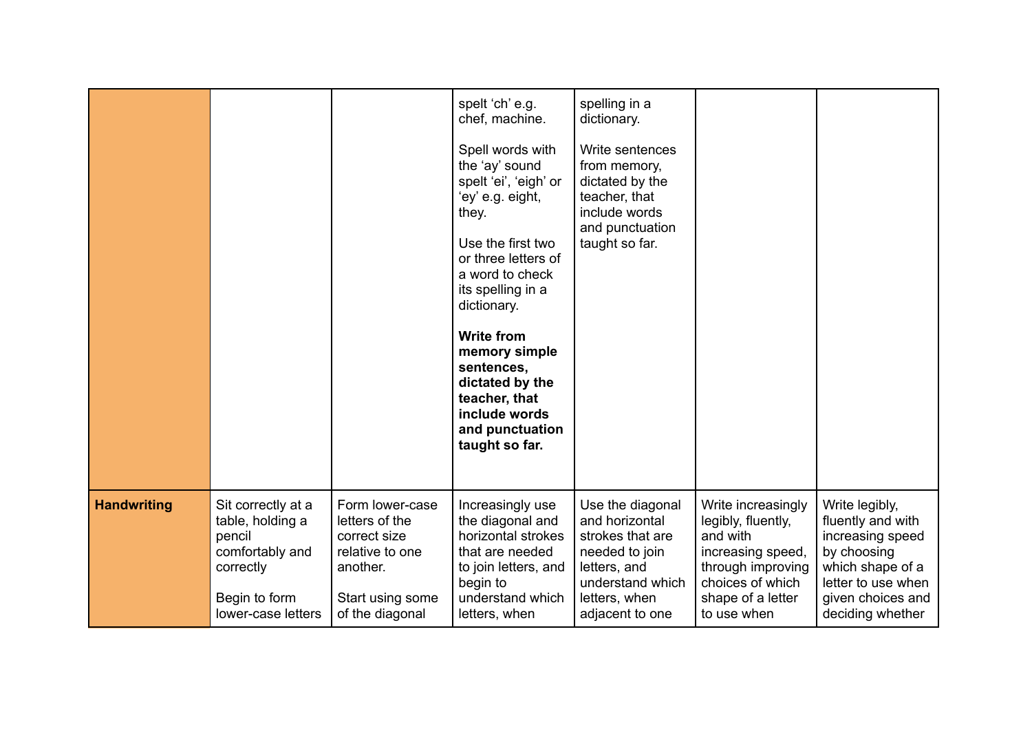|                    |                                                                                                                         |                                                                                                                         | spelt 'ch' e.g.<br>chef, machine.<br>Spell words with<br>the 'ay' sound<br>spelt 'ei', 'eigh' or<br>'ey' e.g. eight,<br>they.<br>Use the first two<br>or three letters of<br>a word to check<br>its spelling in a<br>dictionary.<br><b>Write from</b><br>memory simple<br>sentences,<br>dictated by the<br>teacher, that<br>include words<br>and punctuation<br>taught so far. | spelling in a<br>dictionary.<br>Write sentences<br>from memory,<br>dictated by the<br>teacher, that<br>include words<br>and punctuation<br>taught so far. |                                                                                                                                                        |                                                                                                                                                           |
|--------------------|-------------------------------------------------------------------------------------------------------------------------|-------------------------------------------------------------------------------------------------------------------------|--------------------------------------------------------------------------------------------------------------------------------------------------------------------------------------------------------------------------------------------------------------------------------------------------------------------------------------------------------------------------------|-----------------------------------------------------------------------------------------------------------------------------------------------------------|--------------------------------------------------------------------------------------------------------------------------------------------------------|-----------------------------------------------------------------------------------------------------------------------------------------------------------|
| <b>Handwriting</b> | Sit correctly at a<br>table, holding a<br>pencil<br>comfortably and<br>correctly<br>Begin to form<br>lower-case letters | Form lower-case<br>letters of the<br>correct size<br>relative to one<br>another.<br>Start using some<br>of the diagonal | Increasingly use<br>the diagonal and<br>horizontal strokes<br>that are needed<br>to join letters, and<br>begin to<br>understand which<br>letters, when                                                                                                                                                                                                                         | Use the diagonal<br>and horizontal<br>strokes that are<br>needed to join<br>letters, and<br>understand which<br>letters, when<br>adjacent to one          | Write increasingly<br>legibly, fluently,<br>and with<br>increasing speed,<br>through improving<br>choices of which<br>shape of a letter<br>to use when | Write legibly,<br>fluently and with<br>increasing speed<br>by choosing<br>which shape of a<br>letter to use when<br>given choices and<br>deciding whether |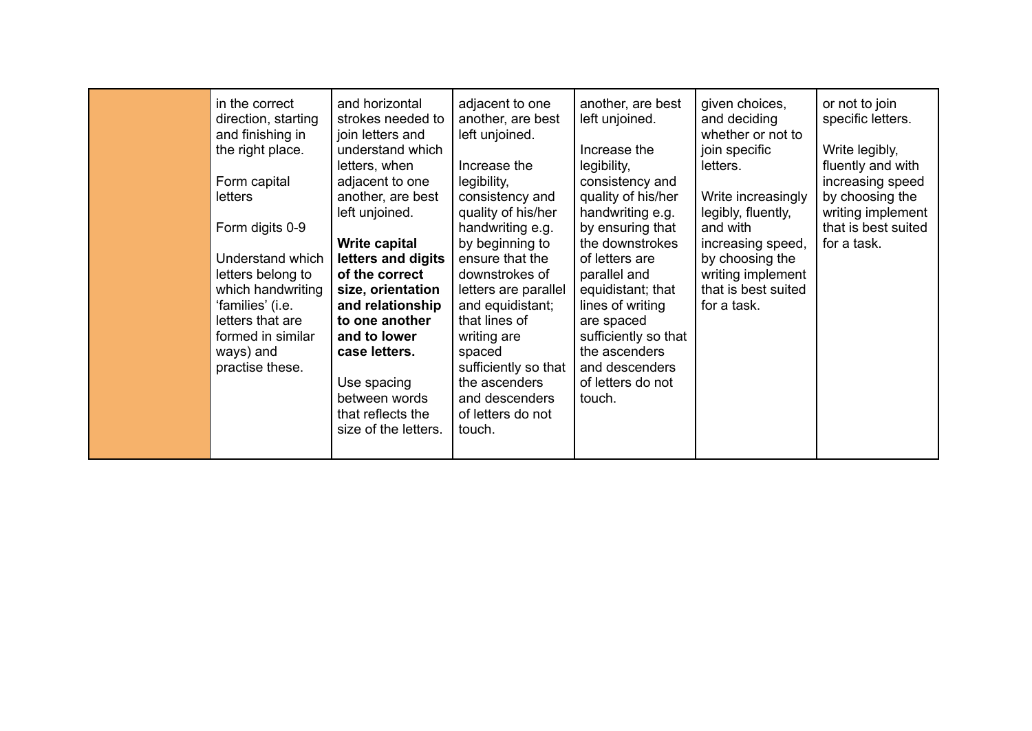| in the correct<br>direction, starting<br>and finishing in<br>the right place.<br>Form capital<br><b>letters</b><br>Form digits 0-9<br>Understand which<br>letters belong to<br>which handwriting<br>'families' (i.e.<br>letters that are<br>formed in similar<br>ways) and<br>practise these. | and horizontal<br>strokes needed to<br>join letters and<br>understand which<br>letters, when<br>adjacent to one<br>another, are best<br>left unjoined.<br>Write capital<br>letters and digits<br>of the correct<br>size, orientation<br>and relationship<br>to one another<br>and to lower<br>case letters.<br>Use spacing<br>between words<br>that reflects the<br>size of the letters. | adjacent to one<br>another, are best<br>left unjoined.<br>Increase the<br>legibility,<br>consistency and<br>quality of his/her<br>handwriting e.g.<br>by beginning to<br>ensure that the<br>downstrokes of<br>letters are parallel<br>and equidistant;<br>that lines of<br>writing are<br>spaced<br>sufficiently so that<br>the ascenders<br>and descenders<br>of letters do not<br>touch. | another, are best<br>left unjoined.<br>Increase the<br>legibility,<br>consistency and<br>quality of his/her<br>handwriting e.g.<br>by ensuring that<br>the downstrokes<br>of letters are<br>parallel and<br>equidistant; that<br>lines of writing<br>are spaced<br>sufficiently so that<br>the ascenders<br>and descenders<br>of letters do not<br>touch. | given choices,<br>and deciding<br>whether or not to<br>join specific<br>letters.<br>Write increasingly<br>legibly, fluently,<br>and with<br>increasing speed,<br>by choosing the<br>writing implement<br>that is best suited<br>for a task. | or not to join<br>specific letters.<br>Write legibly,<br>fluently and with<br>increasing speed<br>by choosing the<br>writing implement<br>that is best suited<br>for a task. |
|-----------------------------------------------------------------------------------------------------------------------------------------------------------------------------------------------------------------------------------------------------------------------------------------------|------------------------------------------------------------------------------------------------------------------------------------------------------------------------------------------------------------------------------------------------------------------------------------------------------------------------------------------------------------------------------------------|--------------------------------------------------------------------------------------------------------------------------------------------------------------------------------------------------------------------------------------------------------------------------------------------------------------------------------------------------------------------------------------------|-----------------------------------------------------------------------------------------------------------------------------------------------------------------------------------------------------------------------------------------------------------------------------------------------------------------------------------------------------------|---------------------------------------------------------------------------------------------------------------------------------------------------------------------------------------------------------------------------------------------|------------------------------------------------------------------------------------------------------------------------------------------------------------------------------|
|-----------------------------------------------------------------------------------------------------------------------------------------------------------------------------------------------------------------------------------------------------------------------------------------------|------------------------------------------------------------------------------------------------------------------------------------------------------------------------------------------------------------------------------------------------------------------------------------------------------------------------------------------------------------------------------------------|--------------------------------------------------------------------------------------------------------------------------------------------------------------------------------------------------------------------------------------------------------------------------------------------------------------------------------------------------------------------------------------------|-----------------------------------------------------------------------------------------------------------------------------------------------------------------------------------------------------------------------------------------------------------------------------------------------------------------------------------------------------------|---------------------------------------------------------------------------------------------------------------------------------------------------------------------------------------------------------------------------------------------|------------------------------------------------------------------------------------------------------------------------------------------------------------------------------|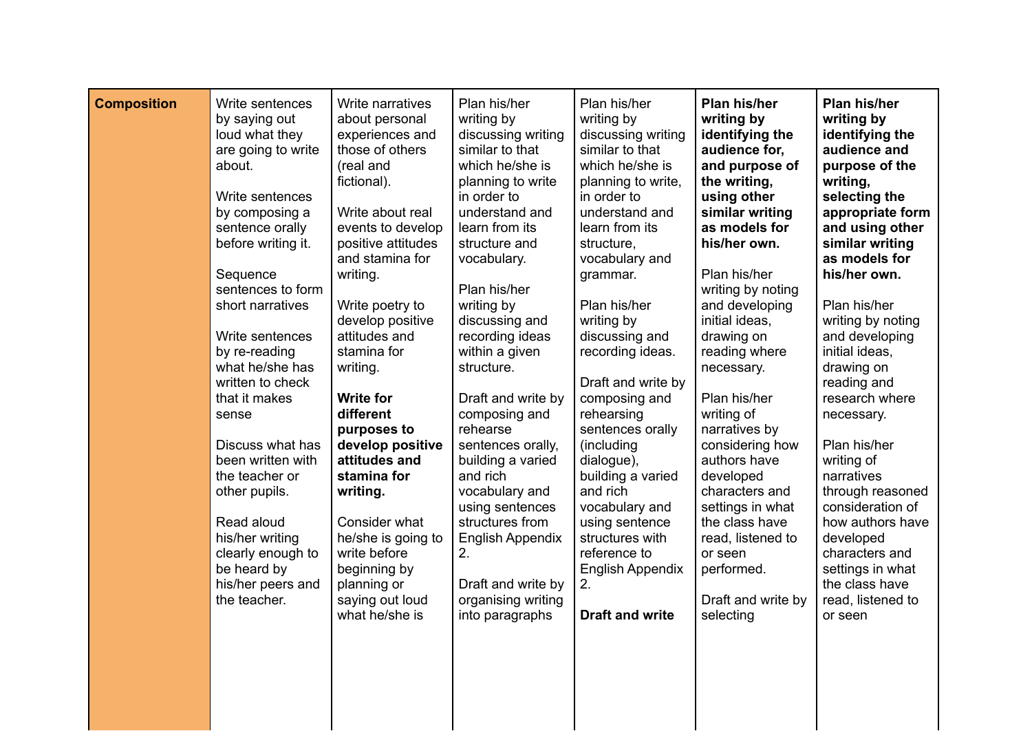| <b>Composition</b> | Write sentences<br>by saying out<br>loud what they<br>are going to write<br>about.<br>Write sentences<br>by composing a<br>sentence orally<br>before writing it.<br>Sequence<br>sentences to form<br>short narratives<br>Write sentences<br>by re-reading<br>what he/she has<br>written to check<br>that it makes<br>sense<br>Discuss what has<br>been written with<br>the teacher or<br>other pupils.<br>Read aloud<br>his/her writing<br>clearly enough to<br>be heard by<br>his/her peers and<br>the teacher. | Write narratives<br>about personal<br>experiences and<br>those of others<br>(real and<br>fictional).<br>Write about real<br>events to develop<br>positive attitudes<br>and stamina for<br>writing.<br>Write poetry to<br>develop positive<br>attitudes and<br>stamina for<br>writing.<br><b>Write for</b><br>different<br>purposes to<br>develop positive<br>attitudes and<br>stamina for<br>writing.<br>Consider what<br>he/she is going to<br>write before<br>beginning by<br>planning or<br>saying out loud<br>what he/she is | Plan his/her<br>writing by<br>discussing writing<br>similar to that<br>which he/she is<br>planning to write<br>in order to<br>understand and<br>learn from its<br>structure and<br>vocabulary.<br>Plan his/her<br>writing by<br>discussing and<br>recording ideas<br>within a given<br>structure.<br>Draft and write by<br>composing and<br>rehearse<br>sentences orally,<br>building a varied<br>and rich<br>vocabulary and<br>using sentences<br>structures from<br><b>English Appendix</b><br>2.<br>Draft and write by<br>organising writing<br>into paragraphs | Plan his/her<br>writing by<br>discussing writing<br>similar to that<br>which he/she is<br>planning to write,<br>in order to<br>understand and<br>learn from its<br>structure,<br>vocabulary and<br>grammar.<br>Plan his/her<br>writing by<br>discussing and<br>recording ideas.<br>Draft and write by<br>composing and<br>rehearsing<br>sentences orally<br>(including<br>dialogue),<br>building a varied<br>and rich<br>vocabulary and<br>using sentence<br>structures with<br>reference to<br>English Appendix<br>2.<br><b>Draft and write</b> | Plan his/her<br>writing by<br>identifying the<br>audience for,<br>and purpose of<br>the writing,<br>using other<br>similar writing<br>as models for<br>his/her own.<br>Plan his/her<br>writing by noting<br>and developing<br>initial ideas,<br>drawing on<br>reading where<br>necessary.<br>Plan his/her<br>writing of<br>narratives by<br>considering how<br>authors have<br>developed<br>characters and<br>settings in what<br>the class have<br>read, listened to<br>or seen<br>performed.<br>Draft and write by<br>selecting | Plan his/her<br>writing by<br>identifying the<br>audience and<br>purpose of the<br>writing,<br>selecting the<br>appropriate form<br>and using other<br>similar writing<br>as models for<br>his/her own.<br>Plan his/her<br>writing by noting<br>and developing<br>initial ideas,<br>drawing on<br>reading and<br>research where<br>necessary.<br>Plan his/her<br>writing of<br>narratives<br>through reasoned<br>consideration of<br>how authors have<br>developed<br>characters and<br>settings in what<br>the class have<br>read, listened to<br>or seen |
|--------------------|------------------------------------------------------------------------------------------------------------------------------------------------------------------------------------------------------------------------------------------------------------------------------------------------------------------------------------------------------------------------------------------------------------------------------------------------------------------------------------------------------------------|----------------------------------------------------------------------------------------------------------------------------------------------------------------------------------------------------------------------------------------------------------------------------------------------------------------------------------------------------------------------------------------------------------------------------------------------------------------------------------------------------------------------------------|--------------------------------------------------------------------------------------------------------------------------------------------------------------------------------------------------------------------------------------------------------------------------------------------------------------------------------------------------------------------------------------------------------------------------------------------------------------------------------------------------------------------------------------------------------------------|--------------------------------------------------------------------------------------------------------------------------------------------------------------------------------------------------------------------------------------------------------------------------------------------------------------------------------------------------------------------------------------------------------------------------------------------------------------------------------------------------------------------------------------------------|-----------------------------------------------------------------------------------------------------------------------------------------------------------------------------------------------------------------------------------------------------------------------------------------------------------------------------------------------------------------------------------------------------------------------------------------------------------------------------------------------------------------------------------|------------------------------------------------------------------------------------------------------------------------------------------------------------------------------------------------------------------------------------------------------------------------------------------------------------------------------------------------------------------------------------------------------------------------------------------------------------------------------------------------------------------------------------------------------------|
|                    |                                                                                                                                                                                                                                                                                                                                                                                                                                                                                                                  |                                                                                                                                                                                                                                                                                                                                                                                                                                                                                                                                  |                                                                                                                                                                                                                                                                                                                                                                                                                                                                                                                                                                    |                                                                                                                                                                                                                                                                                                                                                                                                                                                                                                                                                  |                                                                                                                                                                                                                                                                                                                                                                                                                                                                                                                                   |                                                                                                                                                                                                                                                                                                                                                                                                                                                                                                                                                            |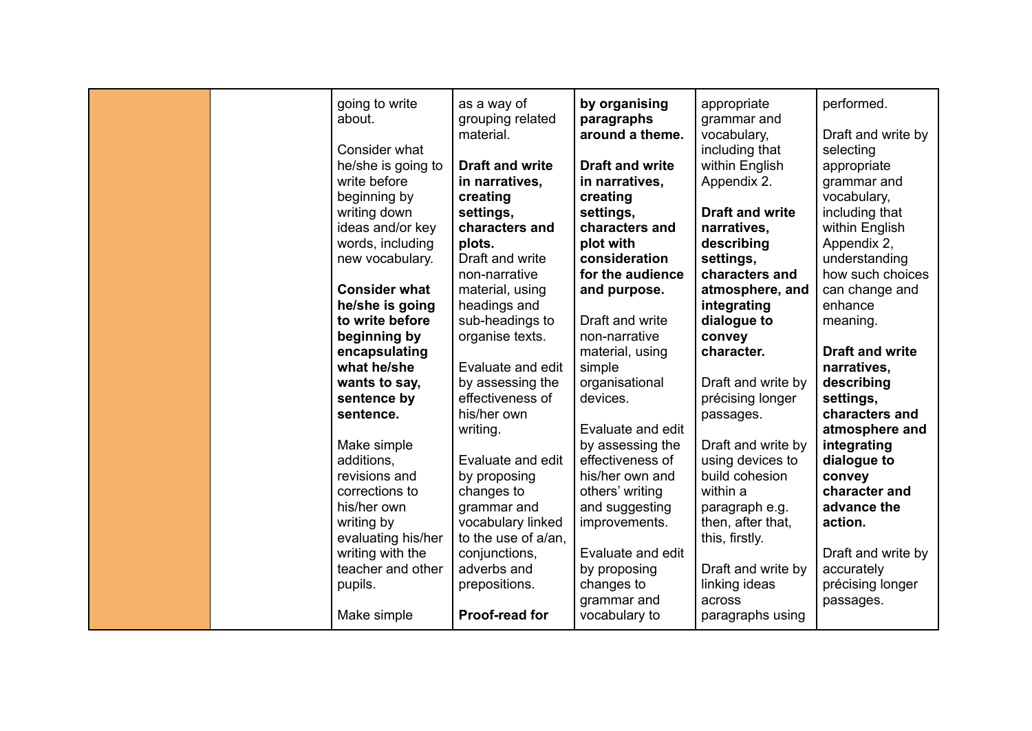| going to write<br>about.<br>Consider what | as a way of<br>grouping related<br>material. | by organising<br>paragraphs<br>around a theme. | appropriate<br>grammar and<br>vocabulary,<br>including that | performed.<br>Draft and write by<br>selecting |
|-------------------------------------------|----------------------------------------------|------------------------------------------------|-------------------------------------------------------------|-----------------------------------------------|
| he/she is going to                        | <b>Draft and write</b>                       | <b>Draft and write</b>                         | within English                                              | appropriate                                   |
| write before                              | in narratives,                               | in narratives,                                 | Appendix 2.                                                 | grammar and                                   |
| beginning by                              | creating                                     | creating                                       |                                                             | vocabulary,                                   |
| writing down                              | settings,                                    | settings,                                      | <b>Draft and write</b>                                      | including that                                |
| ideas and/or key                          | characters and                               | characters and                                 | narratives.                                                 | within English                                |
| words, including                          | plots.                                       | plot with                                      | describing                                                  | Appendix 2,                                   |
| new vocabulary.                           | Draft and write                              | consideration                                  | settings,                                                   | understanding                                 |
|                                           | non-narrative                                | for the audience                               | characters and                                              | how such choices                              |
| <b>Consider what</b>                      | material, using                              | and purpose.                                   | atmosphere, and                                             | can change and                                |
| he/she is going                           | headings and                                 |                                                | integrating                                                 | enhance                                       |
| to write before                           | sub-headings to                              | Draft and write                                | dialogue to                                                 | meaning.                                      |
| beginning by                              | organise texts.                              | non-narrative                                  | convey                                                      |                                               |
| encapsulating                             |                                              | material, using                                | character.                                                  | <b>Draft and write</b>                        |
| what he/she                               | Evaluate and edit                            | simple                                         |                                                             | narratives,                                   |
| wants to say,                             | by assessing the<br>effectiveness of         | organisational                                 | Draft and write by                                          | describing                                    |
| sentence by                               | his/her own                                  | devices.                                       | précising longer                                            | settings,                                     |
| sentence.                                 |                                              | Evaluate and edit                              | passages.                                                   | characters and<br>atmosphere and              |
| Make simple                               | writing.                                     | by assessing the                               | Draft and write by                                          | integrating                                   |
| additions.                                | Evaluate and edit                            | effectiveness of                               | using devices to                                            | dialogue to                                   |
| revisions and                             | by proposing                                 | his/her own and                                | build cohesion                                              | convey                                        |
| corrections to                            | changes to                                   | others' writing                                | within a                                                    | character and                                 |
| his/her own                               | grammar and                                  | and suggesting                                 | paragraph e.g.                                              | advance the                                   |
| writing by                                | vocabulary linked                            | improvements.                                  | then, after that,                                           | action.                                       |
| evaluating his/her                        | to the use of a/an,                          |                                                | this, firstly.                                              |                                               |
| writing with the                          | conjunctions,                                | Evaluate and edit                              |                                                             | Draft and write by                            |
| teacher and other                         | adverbs and                                  | by proposing                                   | Draft and write by                                          | accurately                                    |
| pupils.                                   | prepositions.                                | changes to                                     | linking ideas                                               | précising longer                              |
|                                           |                                              | grammar and                                    | across                                                      | passages.                                     |
| Make simple                               | Proof-read for                               | vocabulary to                                  | paragraphs using                                            |                                               |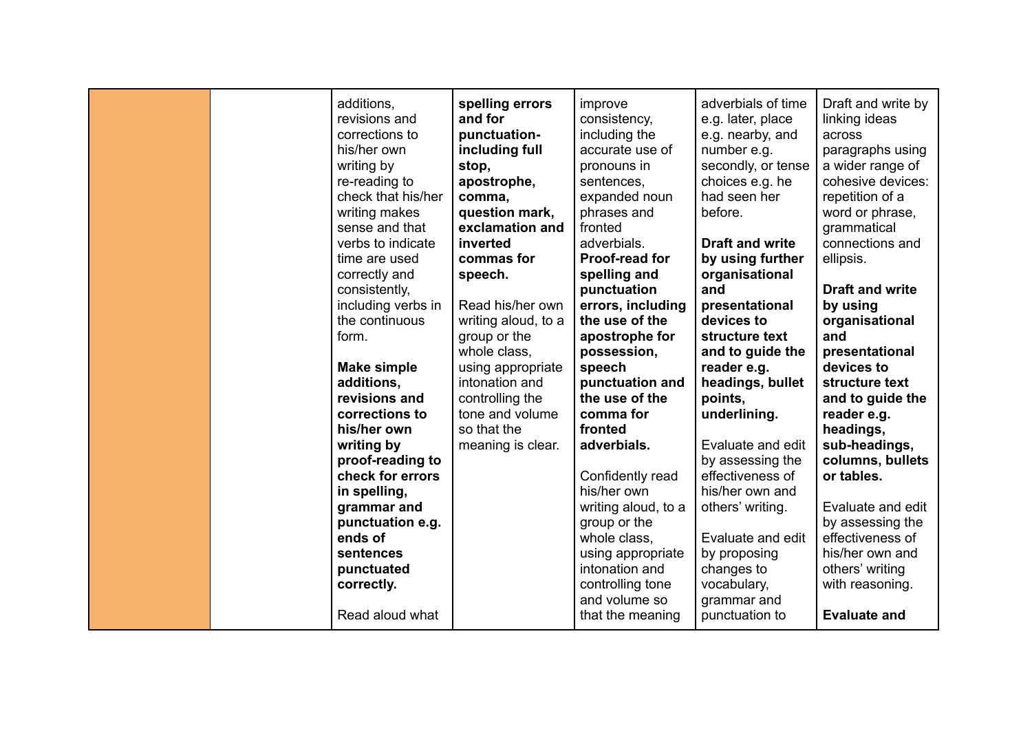| additions,<br>revisions and<br>corrections to<br>his/her own<br>writing by<br>re-reading to<br>check that his/her<br>writing makes<br>sense and that<br>verbs to indicate<br>time are used<br>correctly and<br>consistently,<br>including verbs in<br>the continuous<br>form.<br><b>Make simple</b><br>additions,<br>revisions and<br>corrections to<br>his/her own<br>writing by<br>proof-reading to<br>check for errors<br>in spelling,<br>grammar and<br>punctuation e.g.<br>ends of<br>sentences<br>punctuated<br>correctly.<br>Read aloud what | spelling errors<br>and for<br>punctuation-<br>including full<br>stop,<br>apostrophe,<br>comma,<br>question mark,<br>exclamation and<br>inverted<br>commas for<br>speech.<br>Read his/her own<br>writing aloud, to a<br>group or the<br>whole class,<br>using appropriate<br>intonation and<br>controlling the<br>tone and volume<br>so that the<br>meaning is clear. | improve<br>consistency,<br>including the<br>accurate use of<br>pronouns in<br>sentences,<br>expanded noun<br>phrases and<br>fronted<br>adverbials.<br>Proof-read for<br>spelling and<br>punctuation<br>errors, including<br>the use of the<br>apostrophe for<br>possession,<br>speech<br>punctuation and<br>the use of the<br>comma for<br>fronted<br>adverbials.<br>Confidently read<br>his/her own<br>writing aloud, to a<br>group or the<br>whole class,<br>using appropriate<br>intonation and<br>controlling tone<br>and volume so<br>that the meaning | adverbials of time<br>e.g. later, place<br>e.g. nearby, and<br>number e.g.<br>secondly, or tense<br>choices e.g. he<br>had seen her<br>before.<br><b>Draft and write</b><br>by using further<br>organisational<br>and<br>presentational<br>devices to<br>structure text<br>and to guide the<br>reader e.g.<br>headings, bullet<br>points,<br>underlining.<br>Evaluate and edit<br>by assessing the<br>effectiveness of<br>his/her own and<br>others' writing.<br>Evaluate and edit<br>by proposing<br>changes to<br>vocabulary,<br>grammar and<br>punctuation to | Draft and write by<br>linking ideas<br>across<br>paragraphs using<br>a wider range of<br>cohesive devices:<br>repetition of a<br>word or phrase,<br>grammatical<br>connections and<br>ellipsis.<br><b>Draft and write</b><br>by using<br>organisational<br>and<br>presentational<br>devices to<br>structure text<br>and to guide the<br>reader e.g.<br>headings,<br>sub-headings,<br>columns, bullets<br>or tables.<br>Evaluate and edit<br>by assessing the<br>effectiveness of<br>his/her own and<br>others' writing<br>with reasoning.<br><b>Evaluate and</b> |
|-----------------------------------------------------------------------------------------------------------------------------------------------------------------------------------------------------------------------------------------------------------------------------------------------------------------------------------------------------------------------------------------------------------------------------------------------------------------------------------------------------------------------------------------------------|----------------------------------------------------------------------------------------------------------------------------------------------------------------------------------------------------------------------------------------------------------------------------------------------------------------------------------------------------------------------|-------------------------------------------------------------------------------------------------------------------------------------------------------------------------------------------------------------------------------------------------------------------------------------------------------------------------------------------------------------------------------------------------------------------------------------------------------------------------------------------------------------------------------------------------------------|------------------------------------------------------------------------------------------------------------------------------------------------------------------------------------------------------------------------------------------------------------------------------------------------------------------------------------------------------------------------------------------------------------------------------------------------------------------------------------------------------------------------------------------------------------------|------------------------------------------------------------------------------------------------------------------------------------------------------------------------------------------------------------------------------------------------------------------------------------------------------------------------------------------------------------------------------------------------------------------------------------------------------------------------------------------------------------------------------------------------------------------|
|-----------------------------------------------------------------------------------------------------------------------------------------------------------------------------------------------------------------------------------------------------------------------------------------------------------------------------------------------------------------------------------------------------------------------------------------------------------------------------------------------------------------------------------------------------|----------------------------------------------------------------------------------------------------------------------------------------------------------------------------------------------------------------------------------------------------------------------------------------------------------------------------------------------------------------------|-------------------------------------------------------------------------------------------------------------------------------------------------------------------------------------------------------------------------------------------------------------------------------------------------------------------------------------------------------------------------------------------------------------------------------------------------------------------------------------------------------------------------------------------------------------|------------------------------------------------------------------------------------------------------------------------------------------------------------------------------------------------------------------------------------------------------------------------------------------------------------------------------------------------------------------------------------------------------------------------------------------------------------------------------------------------------------------------------------------------------------------|------------------------------------------------------------------------------------------------------------------------------------------------------------------------------------------------------------------------------------------------------------------------------------------------------------------------------------------------------------------------------------------------------------------------------------------------------------------------------------------------------------------------------------------------------------------|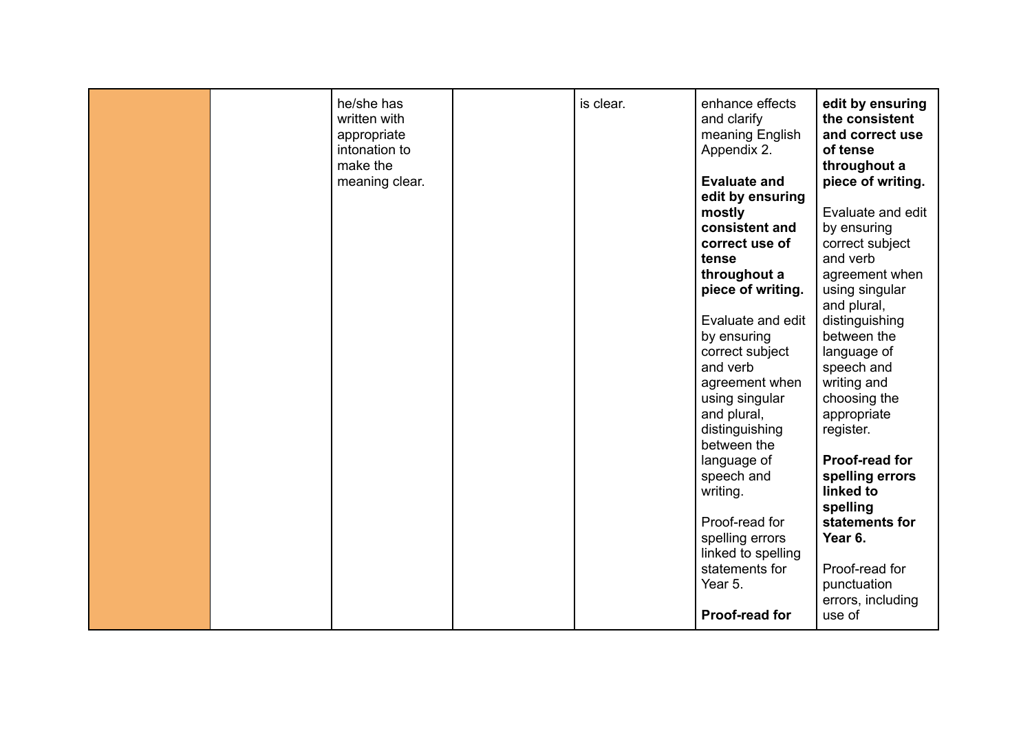| he/she has<br>is clear.<br>enhance effects<br>edit by ensuring<br>the consistent<br>written with<br>and clarify<br>meaning English<br>and correct use<br>appropriate<br>intonation to<br>Appendix 2.<br>of tense<br>make the<br>throughout a<br>piece of writing.<br><b>Evaluate and</b><br>meaning clear.<br>edit by ensuring<br>mostly<br>Evaluate and edit<br>consistent and<br>by ensuring<br>correct use of<br>correct subject<br>and verb<br>tense<br>throughout a<br>agreement when<br>piece of writing.<br>using singular<br>and plural,<br>Evaluate and edit<br>distinguishing<br>between the<br>by ensuring<br>correct subject<br>language of<br>and verb<br>speech and<br>writing and<br>agreement when<br>using singular<br>choosing the<br>and plural,<br>appropriate<br>distinguishing<br>register.<br>between the<br>Proof-read for<br>language of<br>spelling errors<br>speech and<br>linked to<br>writing.<br>spelling<br>Proof-read for<br>statements for<br>Year 6.<br>spelling errors<br>linked to spelling<br>statements for<br>Proof-read for<br>Year 5.<br>punctuation<br>errors, including |  |  |                |        |
|--------------------------------------------------------------------------------------------------------------------------------------------------------------------------------------------------------------------------------------------------------------------------------------------------------------------------------------------------------------------------------------------------------------------------------------------------------------------------------------------------------------------------------------------------------------------------------------------------------------------------------------------------------------------------------------------------------------------------------------------------------------------------------------------------------------------------------------------------------------------------------------------------------------------------------------------------------------------------------------------------------------------------------------------------------------------------------------------------------------------|--|--|----------------|--------|
|                                                                                                                                                                                                                                                                                                                                                                                                                                                                                                                                                                                                                                                                                                                                                                                                                                                                                                                                                                                                                                                                                                                    |  |  | Proof-read for | use of |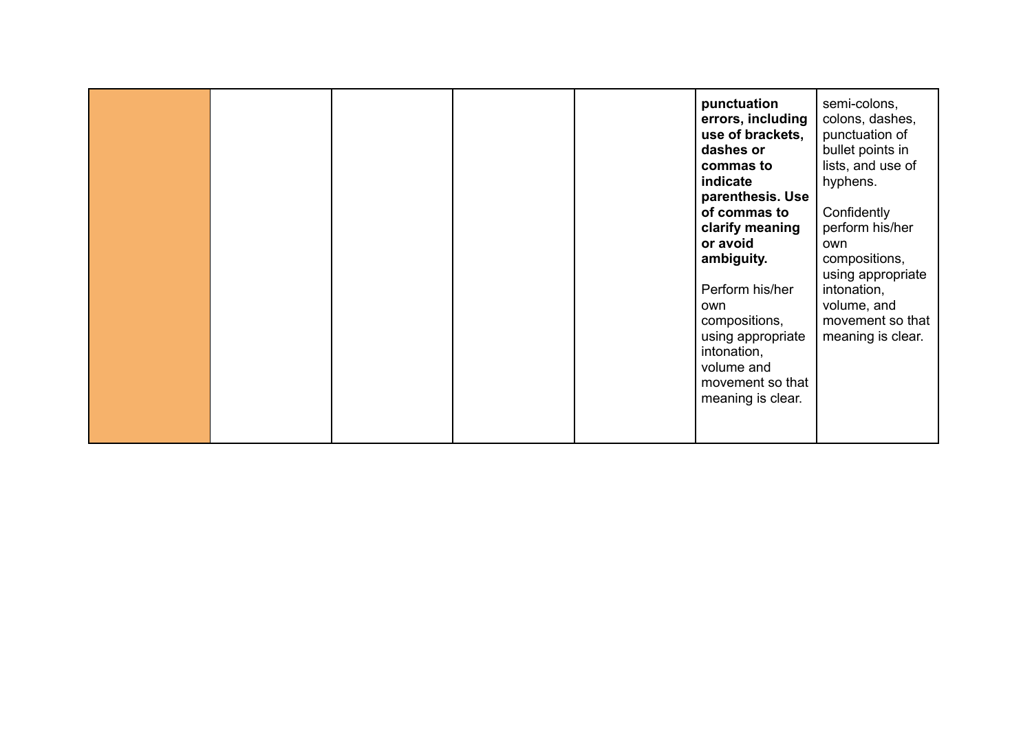|  | punctuation<br>errors, including<br>use of brackets,<br>dashes or<br>commas to<br>indicate<br>parenthesis. Use<br>of commas to<br>clarify meaning<br>or avoid<br>ambiguity.<br>Perform his/her<br>own<br>compositions,<br>using appropriate<br>intonation,<br>volume and<br>movement so that<br>meaning is clear. | semi-colons,<br>colons, dashes,<br>punctuation of<br>bullet points in<br>lists, and use of<br>hyphens.<br>Confidently<br>perform his/her<br>own<br>compositions,<br>using appropriate<br>intonation,<br>volume, and<br>movement so that<br>meaning is clear. |
|--|-------------------------------------------------------------------------------------------------------------------------------------------------------------------------------------------------------------------------------------------------------------------------------------------------------------------|--------------------------------------------------------------------------------------------------------------------------------------------------------------------------------------------------------------------------------------------------------------|
|--|-------------------------------------------------------------------------------------------------------------------------------------------------------------------------------------------------------------------------------------------------------------------------------------------------------------------|--------------------------------------------------------------------------------------------------------------------------------------------------------------------------------------------------------------------------------------------------------------|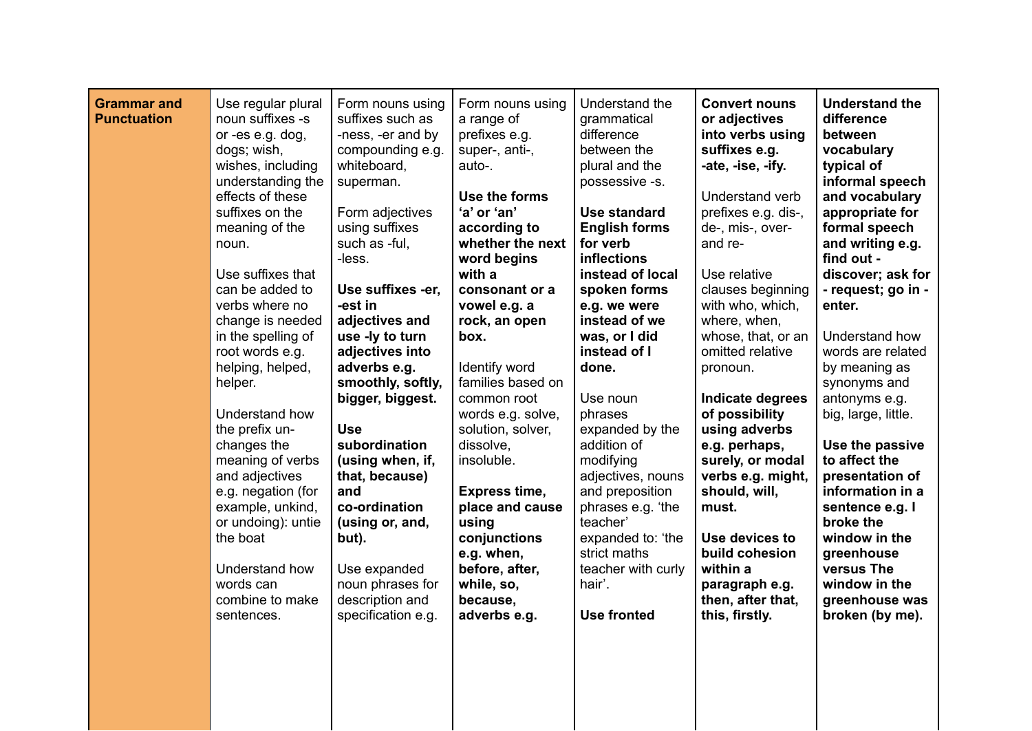|  | <b>Grammar and</b><br><b>Punctuation</b> | Use regular plural<br>noun suffixes -s<br>or -es e.g. dog,<br>dogs; wish,<br>wishes, including<br>understanding the<br>effects of these<br>suffixes on the<br>meaning of the<br>noun.<br>Use suffixes that<br>can be added to<br>verbs where no<br>change is needed<br>in the spelling of<br>root words e.g.<br>helping, helped,<br>helper.<br>Understand how<br>the prefix un-<br>changes the<br>meaning of verbs<br>and adjectives<br>e.g. negation (for<br>example, unkind,<br>or undoing): untie<br>the boat<br>Understand how<br>words can<br>combine to make<br>sentences. | Form nouns using<br>suffixes such as<br>-ness, -er and by<br>compounding e.g.<br>whiteboard,<br>superman.<br>Form adjectives<br>using suffixes<br>such as -ful,<br>-less.<br>Use suffixes -er,<br>-est in<br>adjectives and<br>use -ly to turn<br>adjectives into<br>adverbs e.g.<br>smoothly, softly,<br>bigger, biggest.<br><b>Use</b><br>subordination<br>(using when, if,<br>that, because)<br>and<br>co-ordination<br>(using or, and,<br>but).<br>Use expanded<br>noun phrases for<br>description and<br>specification e.g. | Form nouns using<br>a range of<br>prefixes e.g.<br>super-, anti-,<br>auto-.<br>Use the forms<br>'a' or 'an'<br>according to<br>whether the next<br>word begins<br>with a<br>consonant or a<br>vowel e.g. a<br>rock, an open<br>box.<br>Identify word<br>families based on<br>common root<br>words e.g. solve,<br>solution, solver,<br>dissolve,<br>insoluble.<br><b>Express time,</b><br>place and cause<br>using<br>conjunctions<br>e.g. when,<br>before, after,<br>while, so,<br>because,<br>adverbs e.g. | Understand the<br>grammatical<br>difference<br>between the<br>plural and the<br>possessive -s.<br><b>Use standard</b><br><b>English forms</b><br>for verb<br><b>inflections</b><br>instead of local<br>spoken forms<br>e.g. we were<br>instead of we<br>was, or I did<br>instead of I<br>done.<br>Use noun<br>phrases<br>expanded by the<br>addition of<br>modifying<br>adjectives, nouns<br>and preposition<br>phrases e.g. 'the<br>teacher'<br>expanded to: 'the<br>strict maths<br>teacher with curly<br>hair'.<br><b>Use fronted</b> | <b>Convert nouns</b><br>or adjectives<br>into verbs using<br>suffixes e.g.<br>-ate, -ise, -ify.<br>Understand verb<br>prefixes e.g. dis-,<br>de-, mis-, over-<br>and re-<br>Use relative<br>clauses beginning<br>with who, which,<br>where, when,<br>whose, that, or an<br>omitted relative<br>pronoun.<br>Indicate degrees<br>of possibility<br>using adverbs<br>e.g. perhaps,<br>surely, or modal<br>verbs e.g. might,<br>should, will,<br>must.<br>Use devices to<br>build cohesion<br>within a<br>paragraph e.g.<br>then, after that,<br>this, firstly. | <b>Understand the</b><br>difference<br>between<br>vocabulary<br>typical of<br>informal speech<br>and vocabulary<br>appropriate for<br>formal speech<br>and writing e.g.<br>find out -<br>discover; ask for<br>- request; go in -<br>enter.<br>Understand how<br>words are related<br>by meaning as<br>synonyms and<br>antonyms e.g.<br>big, large, little.<br>Use the passive<br>to affect the<br>presentation of<br>information in a<br>sentence e.g. I<br>broke the<br>window in the<br>greenhouse<br>versus The<br>window in the<br>greenhouse was<br>broken (by me). |
|--|------------------------------------------|----------------------------------------------------------------------------------------------------------------------------------------------------------------------------------------------------------------------------------------------------------------------------------------------------------------------------------------------------------------------------------------------------------------------------------------------------------------------------------------------------------------------------------------------------------------------------------|----------------------------------------------------------------------------------------------------------------------------------------------------------------------------------------------------------------------------------------------------------------------------------------------------------------------------------------------------------------------------------------------------------------------------------------------------------------------------------------------------------------------------------|-------------------------------------------------------------------------------------------------------------------------------------------------------------------------------------------------------------------------------------------------------------------------------------------------------------------------------------------------------------------------------------------------------------------------------------------------------------------------------------------------------------|------------------------------------------------------------------------------------------------------------------------------------------------------------------------------------------------------------------------------------------------------------------------------------------------------------------------------------------------------------------------------------------------------------------------------------------------------------------------------------------------------------------------------------------|-------------------------------------------------------------------------------------------------------------------------------------------------------------------------------------------------------------------------------------------------------------------------------------------------------------------------------------------------------------------------------------------------------------------------------------------------------------------------------------------------------------------------------------------------------------|--------------------------------------------------------------------------------------------------------------------------------------------------------------------------------------------------------------------------------------------------------------------------------------------------------------------------------------------------------------------------------------------------------------------------------------------------------------------------------------------------------------------------------------------------------------------------|
|--|------------------------------------------|----------------------------------------------------------------------------------------------------------------------------------------------------------------------------------------------------------------------------------------------------------------------------------------------------------------------------------------------------------------------------------------------------------------------------------------------------------------------------------------------------------------------------------------------------------------------------------|----------------------------------------------------------------------------------------------------------------------------------------------------------------------------------------------------------------------------------------------------------------------------------------------------------------------------------------------------------------------------------------------------------------------------------------------------------------------------------------------------------------------------------|-------------------------------------------------------------------------------------------------------------------------------------------------------------------------------------------------------------------------------------------------------------------------------------------------------------------------------------------------------------------------------------------------------------------------------------------------------------------------------------------------------------|------------------------------------------------------------------------------------------------------------------------------------------------------------------------------------------------------------------------------------------------------------------------------------------------------------------------------------------------------------------------------------------------------------------------------------------------------------------------------------------------------------------------------------------|-------------------------------------------------------------------------------------------------------------------------------------------------------------------------------------------------------------------------------------------------------------------------------------------------------------------------------------------------------------------------------------------------------------------------------------------------------------------------------------------------------------------------------------------------------------|--------------------------------------------------------------------------------------------------------------------------------------------------------------------------------------------------------------------------------------------------------------------------------------------------------------------------------------------------------------------------------------------------------------------------------------------------------------------------------------------------------------------------------------------------------------------------|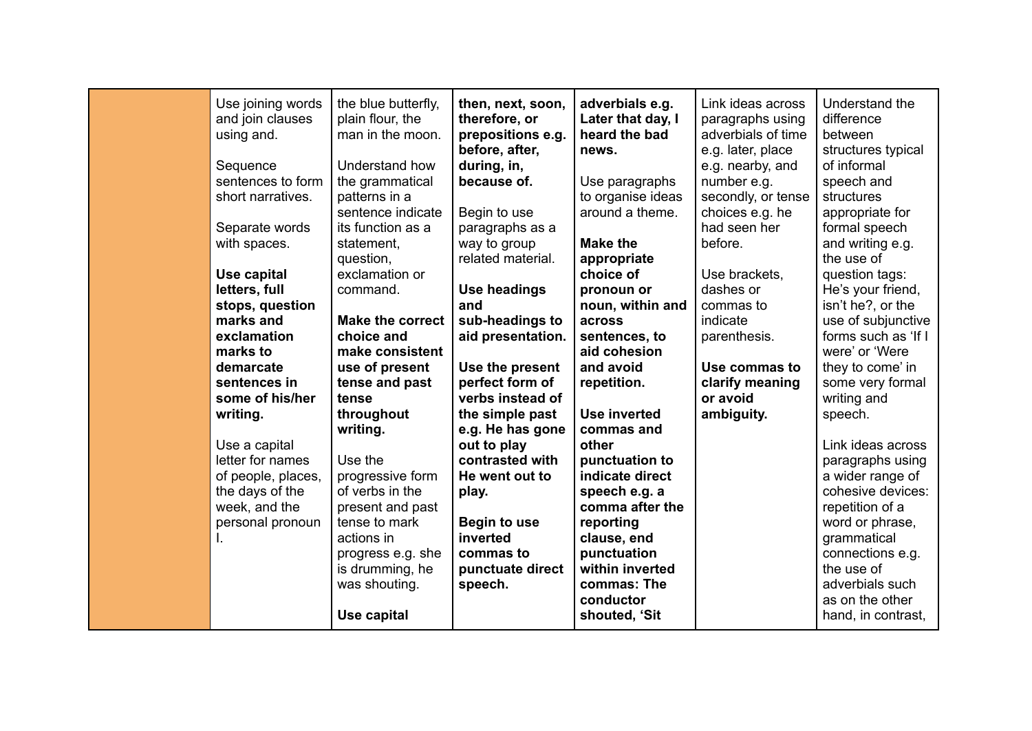| Use joining words<br>and join clauses<br>using and.<br>Sequence<br>sentences to form<br>short narratives.<br>Separate words<br>with spaces.<br>Use capital<br>letters, full<br>stops, question<br>marks and<br>exclamation<br>marks to<br>demarcate<br>sentences in<br>some of his/her<br>writing.<br>Use a capital<br>letter for names<br>of people, places,<br>the days of the<br>week, and the<br>personal pronoun | the blue butterfly,<br>plain flour, the<br>man in the moon.<br>Understand how<br>the grammatical<br>patterns in a<br>sentence indicate<br>its function as a<br>statement,<br>question,<br>exclamation or<br>command.<br><b>Make the correct</b><br>choice and<br>make consistent<br>use of present<br>tense and past<br>tense<br>throughout<br>writing.<br>Use the<br>progressive form<br>of verbs in the<br>present and past<br>tense to mark<br>actions in<br>progress e.g. she<br>is drumming, he<br>was shouting. | then, next, soon,<br>therefore, or<br>prepositions e.g.<br>before, after,<br>during, in,<br>because of.<br>Begin to use<br>paragraphs as a<br>way to group<br>related material.<br><b>Use headings</b><br>and<br>sub-headings to<br>aid presentation.<br>Use the present<br>perfect form of<br>verbs instead of<br>the simple past<br>e.g. He has gone<br>out to play<br>contrasted with<br>He went out to<br>play.<br><b>Begin to use</b><br>inverted<br>commas to<br>punctuate direct<br>speech. | adverbials e.g.<br>Later that day, I<br>heard the bad<br>news.<br>Use paragraphs<br>to organise ideas<br>around a theme.<br><b>Make the</b><br>appropriate<br>choice of<br>pronoun or<br>noun, within and<br>across<br>sentences, to<br>aid cohesion<br>and avoid<br>repetition.<br><b>Use inverted</b><br>commas and<br>other<br>punctuation to<br>indicate direct<br>speech e.g. a<br>comma after the<br>reporting<br>clause, end<br>punctuation<br>within inverted<br>commas: The | Link ideas across<br>paragraphs using<br>adverbials of time<br>e.g. later, place<br>e.g. nearby, and<br>number e.g.<br>secondly, or tense<br>choices e.g. he<br>had seen her<br>before.<br>Use brackets,<br>dashes or<br>commas to<br>indicate<br>parenthesis.<br>Use commas to<br>clarify meaning<br>or avoid<br>ambiguity. | Understand the<br>difference<br>between<br>structures typical<br>of informal<br>speech and<br>structures<br>appropriate for<br>formal speech<br>and writing e.g.<br>the use of<br>question tags:<br>He's your friend,<br>isn't he?, or the<br>use of subjunctive<br>forms such as 'If I<br>were' or 'Were<br>they to come' in<br>some very formal<br>writing and<br>speech.<br>Link ideas across<br>paragraphs using<br>a wider range of<br>cohesive devices:<br>repetition of a<br>word or phrase,<br>grammatical<br>connections e.g.<br>the use of<br>adverbials such |
|-----------------------------------------------------------------------------------------------------------------------------------------------------------------------------------------------------------------------------------------------------------------------------------------------------------------------------------------------------------------------------------------------------------------------|-----------------------------------------------------------------------------------------------------------------------------------------------------------------------------------------------------------------------------------------------------------------------------------------------------------------------------------------------------------------------------------------------------------------------------------------------------------------------------------------------------------------------|----------------------------------------------------------------------------------------------------------------------------------------------------------------------------------------------------------------------------------------------------------------------------------------------------------------------------------------------------------------------------------------------------------------------------------------------------------------------------------------------------|--------------------------------------------------------------------------------------------------------------------------------------------------------------------------------------------------------------------------------------------------------------------------------------------------------------------------------------------------------------------------------------------------------------------------------------------------------------------------------------|------------------------------------------------------------------------------------------------------------------------------------------------------------------------------------------------------------------------------------------------------------------------------------------------------------------------------|-------------------------------------------------------------------------------------------------------------------------------------------------------------------------------------------------------------------------------------------------------------------------------------------------------------------------------------------------------------------------------------------------------------------------------------------------------------------------------------------------------------------------------------------------------------------------|
|                                                                                                                                                                                                                                                                                                                                                                                                                       | Use capital                                                                                                                                                                                                                                                                                                                                                                                                                                                                                                           |                                                                                                                                                                                                                                                                                                                                                                                                                                                                                                    | conductor<br>shouted, 'Sit                                                                                                                                                                                                                                                                                                                                                                                                                                                           |                                                                                                                                                                                                                                                                                                                              | as on the other<br>hand, in contrast,                                                                                                                                                                                                                                                                                                                                                                                                                                                                                                                                   |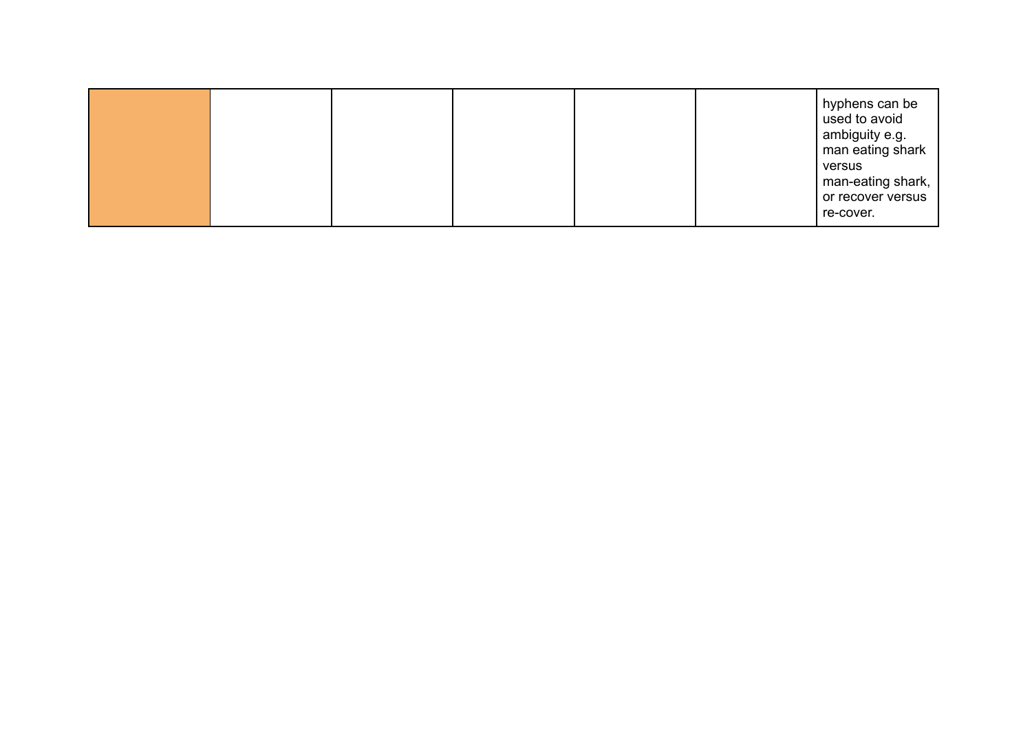|  |  |  |  |  |  | hyphens can be<br>used to avoid<br>ambiguity e.g.<br>man eating shark<br>versus<br>man-eating shark,<br>or recover versus<br>re-cover. |
|--|--|--|--|--|--|----------------------------------------------------------------------------------------------------------------------------------------|
|--|--|--|--|--|--|----------------------------------------------------------------------------------------------------------------------------------------|